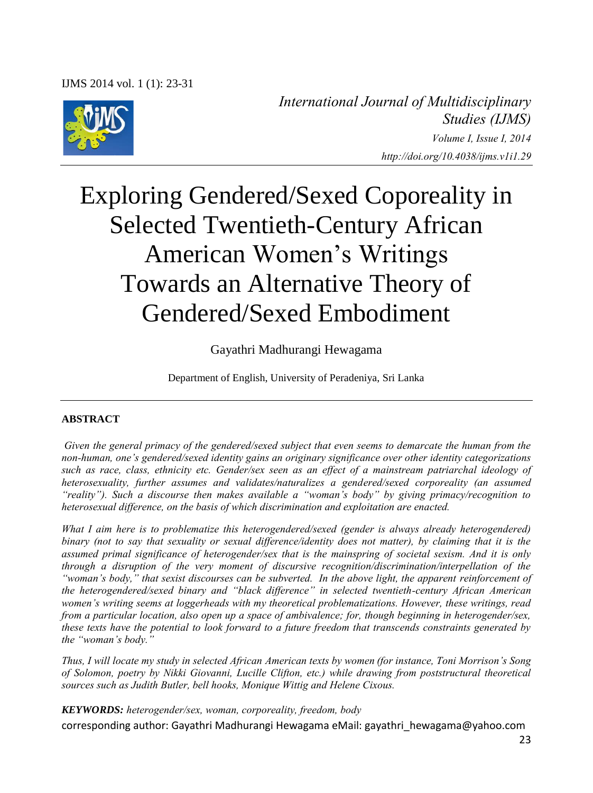

*International Journal of Multidisciplinary Studies (IJMS) Volume I, Issue I, 2014 http://doi.org/10.4038/ijms.v1i1.29* 

# Exploring Gendered/Sexed Coporeality in Selected Twentieth-Century African American Women"s Writings Towards an Alternative Theory of Gendered/Sexed Embodiment

Gayathri Madhurangi Hewagama

Department of English, University of Peradeniya, Sri Lanka

## **ABSTRACT**

 *Given the general primacy of the gendered/sexed subject that even seems to demarcate the human from the non-human, one's gendered/sexed identity gains an originary significance over other identity categorizations such as race, class, ethnicity etc. Gender/sex seen as an effect of a mainstream patriarchal ideology of heterosexuality, further assumes and validates/naturalizes a gendered/sexed corporeality (an assumed "reality"). Such a discourse then makes available a "woman's body" by giving primacy/recognition to heterosexual difference, on the basis of which discrimination and exploitation are enacted.* 

*What I aim here is to problematize this heterogendered/sexed (gender is always already heterogendered) binary (not to say that sexuality or sexual difference/identity does not matter), by claiming that it is the assumed primal significance of heterogender/sex that is the mainspring of societal sexism. And it is only through a disruption of the very moment of discursive recognition/discrimination/interpellation of the "woman's body," that sexist discourses can be subverted. In the above light, the apparent reinforcement of the heterogendered/sexed binary and "black difference" in selected twentieth-century African American women's writing seems at loggerheads with my theoretical problematizations. However, these writings, read from a particular location, also open up a space of ambivalence; for, though beginning in heterogender/sex, these texts have the potential to look forward to a future freedom that transcends constraints generated by the "woman's body."* 

*Thus, I will locate my study in selected African American texts by women (for instance, Toni Morrison's Song of Solomon, poetry by Nikki Giovanni, Lucille Clifton, etc.) while drawing from poststructural theoretical sources such as Judith Butler, bell hooks, Monique Wittig and Helene Cixous.* 

corresponding author: Gayathri Madhurangi Hewagama eMail: gayathri\_hewagama@yahoo.com *KEYWORDS: heterogender/sex, woman, corporeality, freedom, body*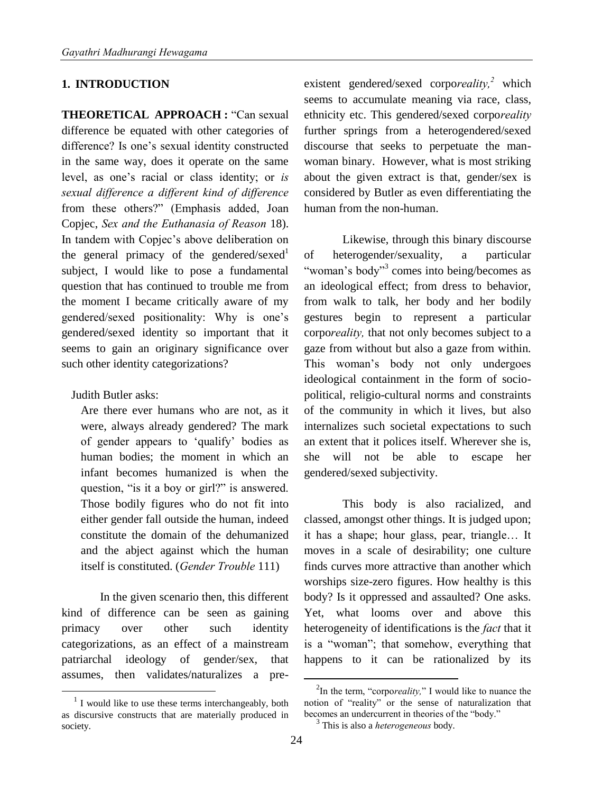# **1. INTRODUCTION**

**THEORETICAL APPROACH :** "Can sexual difference be equated with other categories of difference? Is one's sexual identity constructed in the same way, does it operate on the same level, as one"s racial or class identity; or *is sexual difference a different kind of difference*  from these others?" (Emphasis added, Joan Copjec, *Sex and the Euthanasia of Reason* 18). In tandem with Copjec's above deliberation on the general primacy of the gendered/sexed $<sup>1</sup>$ </sup> subject, I would like to pose a fundamental question that has continued to trouble me from the moment I became critically aware of my gendered/sexed positionality: Why is one"s gendered/sexed identity so important that it seems to gain an originary significance over such other identity categorizations?

Judith Butler asks:

 $\ddot{\phantom{a}}$ 

Are there ever humans who are not, as it were, always already gendered? The mark of gender appears to "qualify" bodies as human bodies; the moment in which an infant becomes humanized is when the question, "is it a boy or girl?" is answered. Those bodily figures who do not fit into either gender fall outside the human, indeed constitute the domain of the dehumanized and the abject against which the human itself is constituted. (*Gender Trouble* 111)

In the given scenario then, this different kind of difference can be seen as gaining primacy over other such identity categorizations, as an effect of a mainstream patriarchal ideology of gender/sex, that assumes, then validates/naturalizes a preexistent gendered/sexed corpo*reality,<sup>2</sup>* which seems to accumulate meaning via race, class, ethnicity etc. This gendered/sexed corpo*reality*  further springs from a heterogendered/sexed discourse that seeks to perpetuate the manwoman binary. However, what is most striking about the given extract is that, gender/sex is considered by Butler as even differentiating the human from the non-human.

Likewise, through this binary discourse of heterogender/sexuality, a particular "woman's body"<sup>3</sup> comes into being/becomes as an ideological effect; from dress to behavior, from walk to talk, her body and her bodily gestures begin to represent a particular corpo*reality,* that not only becomes subject to a gaze from without but also a gaze from within. This woman"s body not only undergoes ideological containment in the form of sociopolitical, religio-cultural norms and constraints of the community in which it lives, but also internalizes such societal expectations to such an extent that it polices itself. Wherever she is, she will not be able to escape her gendered/sexed subjectivity.

This body is also racialized, and classed, amongst other things. It is judged upon; it has a shape; hour glass, pear, triangle… It moves in a scale of desirability; one culture finds curves more attractive than another which worships size-zero figures. How healthy is this body? Is it oppressed and assaulted? One asks. Yet, what looms over and above this heterogeneity of identifications is the *fact* that it is a "woman"; that somehow, everything that happens to it can be rationalized by its

 $\overline{a}$ 

<sup>&</sup>lt;sup>1</sup> I would like to use these terms interchangeably, both as discursive constructs that are materially produced in society.

<sup>2</sup> In the term, "corpo*reality,*" I would like to nuance the notion of "reality" or the sense of naturalization that becomes an undercurrent in theories of the "body."

<sup>3</sup> This is also a *heterogeneous* body.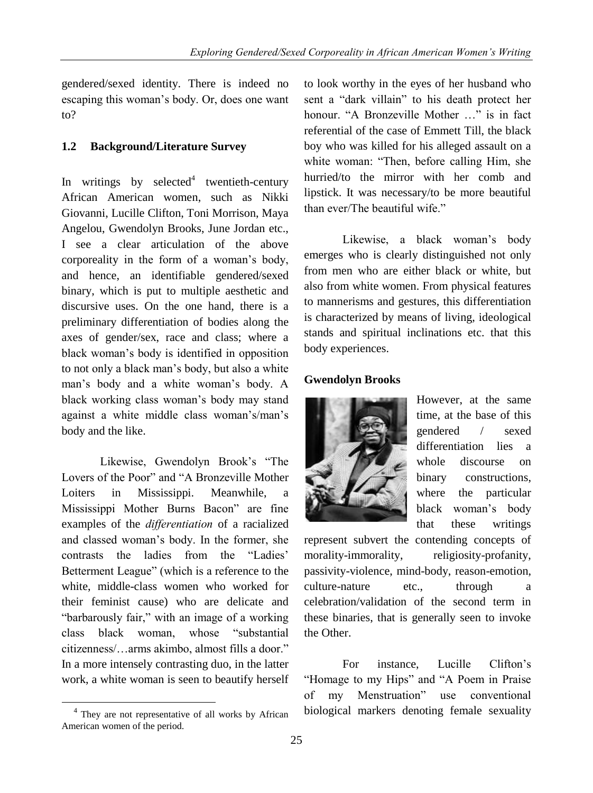gendered/sexed identity. There is indeed no escaping this woman"s body. Or, does one want to?

# **1.2 Background/Literature Survey**

In writings by selected<sup>4</sup> twentieth-century African American women, such as Nikki Giovanni, Lucille Clifton, Toni Morrison, Maya Angelou, Gwendolyn Brooks, June Jordan etc., I see a clear articulation of the above corporeality in the form of a woman"s body, and hence, an identifiable gendered/sexed binary, which is put to multiple aesthetic and discursive uses. On the one hand, there is a preliminary differentiation of bodies along the axes of gender/sex, race and class; where a black woman"s body is identified in opposition to not only a black man"s body, but also a white man"s body and a white woman"s body. A black working class woman"s body may stand against a white middle class woman"s/man"s body and the like.

Likewise, Gwendolyn Brook's "The Lovers of the Poor" and "A Bronzeville Mother Loiters in Mississippi. Meanwhile, a Mississippi Mother Burns Bacon" are fine examples of the *differentiation* of a racialized and classed woman"s body. In the former, she contrasts the ladies from the "Ladies" Betterment League" (which is a reference to the white, middle-class women who worked for their feminist cause) who are delicate and "barbarously fair," with an image of a working class black woman, whose "substantial citizenness/…arms akimbo, almost fills a door." In a more intensely contrasting duo, in the latter work, a white woman is seen to beautify herself

 $\overline{a}$ 

to look worthy in the eyes of her husband who sent a "dark villain" to his death protect her honour. "A Bronzeville Mother …" is in fact referential of the case of Emmett Till, the black boy who was killed for his alleged assault on a white woman: "Then, before calling Him, she hurried/to the mirror with her comb and lipstick. It was necessary/to be more beautiful than ever/The beautiful wife."

Likewise, a black woman"s body emerges who is clearly distinguished not only from men who are either black or white, but also from white women. From physical features to mannerisms and gestures, this differentiation is characterized by means of living, ideological stands and spiritual inclinations etc. that this body experiences.

# **Gwendolyn Brooks**



However, at the same time, at the base of this gendered / sexed differentiation lies a whole discourse on binary constructions, where the particular black woman"s body that these writings

represent subvert the contending concepts of morality-immorality, religiosity-profanity, passivity-violence, mind-body, reason-emotion, culture-nature etc., through a celebration/validation of the second term in these binaries, that is generally seen to invoke the Other.

For instance, Lucille Clifton's "Homage to my Hips" and "A Poem in Praise of my Menstruation" use conventional biological markers denoting female sexuality

<sup>&</sup>lt;sup>4</sup> They are not representative of all works by African American women of the period.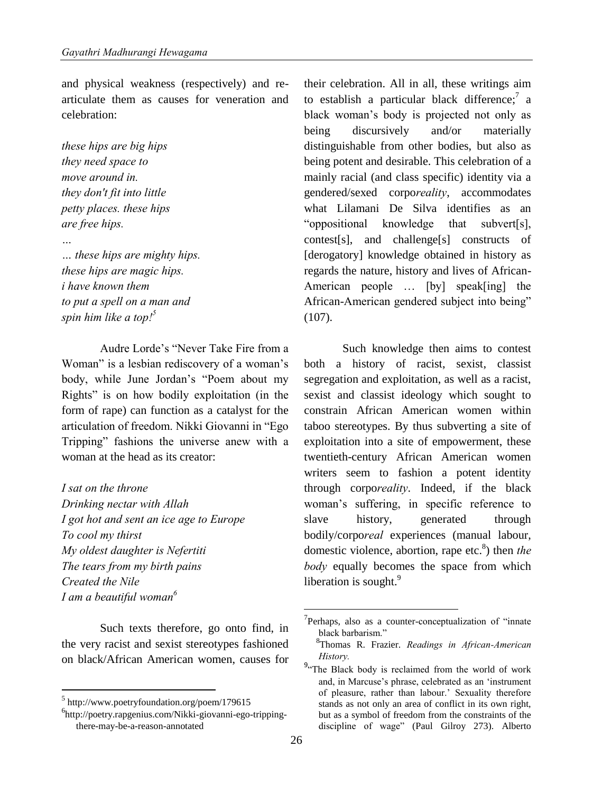and physical weakness (respectively) and rearticulate them as causes for veneration and celebration:

*these hips are big hips they need space to move around in. they don't fit into little petty places. these hips are free hips.* 

*…* 

 $\overline{a}$ 

*… these hips are mighty hips. these hips are magic hips. i have known them to put a spell on a man and spin him like a top!<sup>5</sup>*

Audre Lorde"s "Never Take Fire from a Woman" is a lesbian rediscovery of a woman's body, while June Jordan"s "Poem about my Rights" is on how bodily exploitation (in the form of rape) can function as a catalyst for the articulation of freedom. Nikki Giovanni in "Ego Tripping" fashions the universe anew with a woman at the head as its creator:

*[I sat on the throne](http://poetry.rapgenius.com/82024/Nikki-giovanni-ego-tripping-there-may-be-a-reason/I-sat-on-the-throne-drinking-nectar-with)  [Drinking nectar with](http://poetry.rapgenius.com/82024/Nikki-giovanni-ego-tripping-there-may-be-a-reason/I-sat-on-the-throne-drinking-nectar-with) [Allah](http://poetry.rapgenius.com/1330157/Nikki-giovanni-ego-tripping-there-may-be-a-reason/Allah) [I got hot and sent an ice age to Europe](http://poetry.rapgenius.com/1330140/Nikki-giovanni-ego-tripping-there-may-be-a-reason/I-got-hot-and-sent-an-ice-age-to-europe-to-cool-my-thirst)  [To cool my thirst](http://poetry.rapgenius.com/1330140/Nikki-giovanni-ego-tripping-there-may-be-a-reason/I-got-hot-and-sent-an-ice-age-to-europe-to-cool-my-thirst) [My oldest daughter is Nefertiti](http://poetry.rapgenius.com/82025/Nikki-giovanni-ego-tripping-there-may-be-a-reason/My-oldest-daughter-is-nefertiti) [The tears from my birth pains](http://poetry.rapgenius.com/1330116/Nikki-giovanni-ego-tripping-there-may-be-a-reason/The-tears-from-my-birth-pains-created-the-nile-i-am-a-beautiful-woman)  [Created the Nile](http://poetry.rapgenius.com/1330116/Nikki-giovanni-ego-tripping-there-may-be-a-reason/The-tears-from-my-birth-pains-created-the-nile-i-am-a-beautiful-woman)  [I am a beautiful woman](http://poetry.rapgenius.com/1330116/Nikki-giovanni-ego-tripping-there-may-be-a-reason/The-tears-from-my-birth-pains-created-the-nile-i-am-a-beautiful-woman)<sup>6</sup>*

Such texts therefore, go onto find, in the very racist and sexist stereotypes fashioned on black/African American women, causes for their celebration. All in all, these writings aim to establish a particular black difference; $\frac{7}{1}$  a black woman"s body is projected not only as being discursively and/or materially distinguishable from other bodies, but also as being potent and desirable. This celebration of a mainly racial (and class specific) identity via a gendered/sexed corpo*reality*, accommodates what Lilamani De Silva identifies as an "oppositional knowledge that subvert[s], contest[s], and challenge[s] constructs of [derogatory] knowledge obtained in history as regards the nature, history and lives of African-American people … [by] speak[ing] the African-American gendered subject into being"  $(107)$ .

Such knowledge then aims to contest both a history of racist, sexist, classist segregation and exploitation, as well as a racist, sexist and classist ideology which sought to constrain African American women within taboo stereotypes. By thus subverting a site of exploitation into a site of empowerment, these twentieth-century African American women writers seem to fashion a potent identity through corpo*reality*. Indeed, if the black woman"s suffering, in specific reference to slave history, generated through bodily/corpo*real* experiences (manual labour, domestic violence, abortion, rape etc.<sup>8</sup>) then *the body* equally becomes the space from which liberation is sought. $9$ 

 $\overline{\phantom{a}}$ 

<sup>5</sup> http://www.poetryfoundation.org/poem/179615

<sup>6</sup> http://poetry.rapgenius.com/Nikki-giovanni-ego-trippingthere-may-be-a-reason-annotated

<sup>&</sup>lt;sup>7</sup>Perhaps, also as a counter-conceptualization of "innate" black barbarism."

<sup>8</sup> Thomas R. Frazier. *Readings in African-American History.* 

<sup>&</sup>lt;sup>9</sup>"The Black body is reclaimed from the world of work and, in Marcuse"s phrase, celebrated as an "instrument of pleasure, rather than labour." Sexuality therefore stands as not only an area of conflict in its own right, but as a symbol of freedom from the constraints of the discipline of wage" (Paul Gilroy 273). Alberto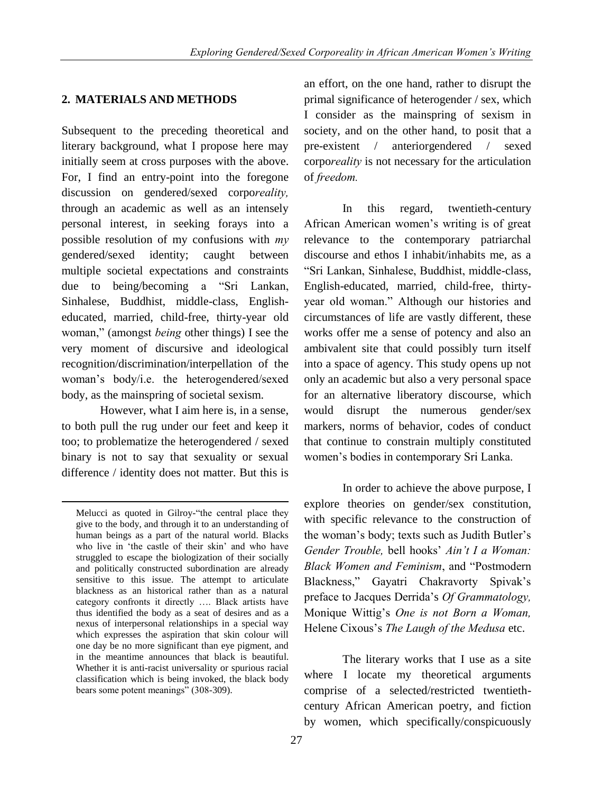## **2. MATERIALS AND METHODS**

Subsequent to the preceding theoretical and literary background, what I propose here may initially seem at cross purposes with the above. For, I find an entry-point into the foregone discussion on gendered/sexed corpo*reality,*  through an academic as well as an intensely personal interest, in seeking forays into a possible resolution of my confusions with *my* gendered/sexed identity; caught between multiple societal expectations and constraints due to being/becoming a "Sri Lankan, Sinhalese, Buddhist, middle-class, Englisheducated, married, child-free, thirty-year old woman," (amongst *being* other things) I see the very moment of discursive and ideological recognition/discrimination/interpellation of the woman"s body/i.e. the heterogendered/sexed body, as the mainspring of societal sexism.

However, what I aim here is, in a sense, to both pull the rug under our feet and keep it too; to problematize the heterogendered / sexed binary is not to say that sexuality or sexual difference / identity does not matter. But this is

-

an effort, on the one hand, rather to disrupt the primal significance of heterogender / sex, which I consider as the mainspring of sexism in society, and on the other hand, to posit that a pre-existent / anteriorgendered / sexed corpo*reality* is not necessary for the articulation of *freedom.*

In this regard, twentieth-century African American women"s writing is of great relevance to the contemporary patriarchal discourse and ethos I inhabit/inhabits me, as a "Sri Lankan, Sinhalese, Buddhist, middle-class, English-educated, married, child-free, thirtyyear old woman." Although our histories and circumstances of life are vastly different, these works offer me a sense of potency and also an ambivalent site that could possibly turn itself into a space of agency. This study opens up not only an academic but also a very personal space for an alternative liberatory discourse, which would disrupt the numerous gender/sex markers, norms of behavior, codes of conduct that continue to constrain multiply constituted women"s bodies in contemporary Sri Lanka.

In order to achieve the above purpose, I explore theories on gender/sex constitution, with specific relevance to the construction of the woman's body; texts such as Judith Butler's *Gender Trouble,* bell hooks" *Ain't I a Woman: Black Women and Feminism*, and "Postmodern Blackness," Gayatri Chakravorty Spivak"s preface to Jacques Derrida"s *Of Grammatology,*  Monique Wittig"s *One is not Born a Woman,*  Helene Cixous"s *The Laugh of the Medusa* etc.

The literary works that I use as a site where I locate my theoretical arguments comprise of a selected/restricted twentiethcentury African American poetry, and fiction by women, which specifically/conspicuously

Melucci as quoted in Gilroy-"the central place they give to the body, and through it to an understanding of human beings as a part of the natural world. Blacks who live in 'the castle of their skin' and who have struggled to escape the biologization of their socially and politically constructed subordination are already sensitive to this issue. The attempt to articulate blackness as an historical rather than as a natural category confronts it directly …. Black artists have thus identified the body as a seat of desires and as a nexus of interpersonal relationships in a special way which expresses the aspiration that skin colour will one day be no more significant than eye pigment, and in the meantime announces that black is beautiful. Whether it is anti-racist universality or spurious racial classification which is being invoked, the black body bears some potent meanings" (308-309).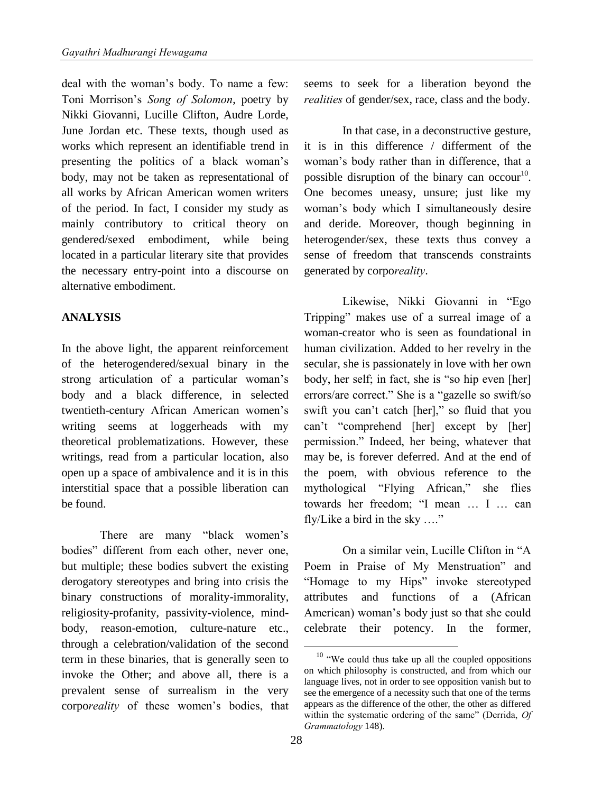deal with the woman"s body. To name a few: Toni Morrison"s *Song of Solomon*, poetry by Nikki Giovanni, Lucille Clifton, Audre Lorde, June Jordan etc. These texts, though used as works which represent an identifiable trend in presenting the politics of a black woman"s body, may not be taken as representational of all works by African American women writers of the period. In fact, I consider my study as mainly contributory to critical theory on gendered/sexed embodiment, while being located in a particular literary site that provides the necessary entry-point into a discourse on alternative embodiment.

## **ANALYSIS**

In the above light, the apparent reinforcement of the heterogendered/sexual binary in the strong articulation of a particular woman"s body and a black difference, in selected twentieth-century African American women"s writing seems at loggerheads with my theoretical problematizations. However, these writings, read from a particular location, also open up a space of ambivalence and it is in this interstitial space that a possible liberation can be found.

There are many "black women's bodies" different from each other, never one, but multiple; these bodies subvert the existing derogatory stereotypes and bring into crisis the binary constructions of morality-immorality, religiosity-profanity, passivity-violence, mindbody, reason-emotion, culture-nature etc., through a celebration/validation of the second term in these binaries, that is generally seen to invoke the Other; and above all, there is a prevalent sense of surrealism in the very corpo*reality* of these women"s bodies, that

seems to seek for a liberation beyond the *realities* of gender/sex, race, class and the body.

In that case, in a deconstructive gesture, it is in this difference / differment of the woman"s body rather than in difference, that a possible disruption of the binary can occour<sup>10</sup>. One becomes uneasy, unsure; just like my woman"s body which I simultaneously desire and deride. Moreover, though beginning in heterogender/sex, these texts thus convey a sense of freedom that transcends constraints generated by corpo*reality*.

Likewise, Nikki Giovanni in "Ego Tripping" makes use of a surreal image of a woman-creator who is seen as foundational in human civilization. Added to her revelry in the secular, she is passionately in love with her own body, her self; in fact, she is "so hip even [her] errors/are correct." She is a "gazelle so swift/so swift you can"t catch [her]," so fluid that you can"t "comprehend [her] except by [her] permission." Indeed, her being, whatever that may be, is forever deferred. And at the end of the poem, with obvious reference to the mythological "Flying African," she flies towards her freedom; "I mean … I … can fly/Like a bird in the sky …."

On a similar vein, Lucille Clifton in "A Poem in Praise of My Menstruation" and "Homage to my Hips" invoke stereotyped attributes and functions of a (African American) woman"s body just so that she could celebrate their potency. In the former,

 $\overline{\phantom{a}}$ 

 $10$  "We could thus take up all the coupled oppositions on which philosophy is constructed, and from which our language lives, not in order to see opposition vanish but to see the emergence of a necessity such that one of the terms appears as the difference of the other, the other as differed within the systematic ordering of the same" (Derrida, *Of Grammatology* 148).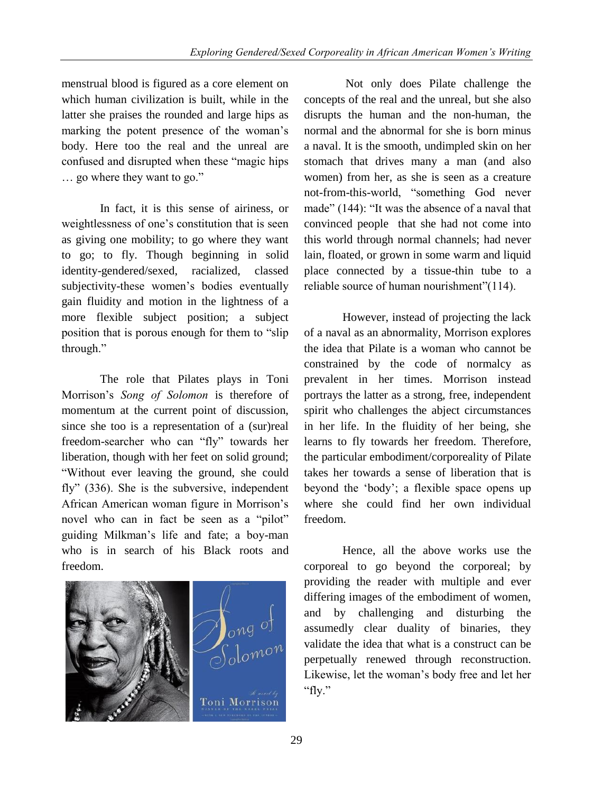menstrual blood is figured as a core element on which human civilization is built, while in the latter she praises the rounded and large hips as marking the potent presence of the woman"s body. Here too the real and the unreal are confused and disrupted when these "magic hips … go where they want to go."

In fact, it is this sense of airiness, or weightlessness of one"s constitution that is seen as giving one mobility; to go where they want to go; to fly. Though beginning in solid identity-gendered/sexed, racialized, classed subjectivity-these women's bodies eventually gain fluidity and motion in the lightness of a more flexible subject position; a subject position that is porous enough for them to "slip through."

The role that Pilates plays in Toni Morrison"s *Song of Solomon* is therefore of momentum at the current point of discussion, since she too is a representation of a (sur)real freedom-searcher who can "fly" towards her liberation, though with her feet on solid ground; "Without ever leaving the ground, she could fly" (336). She is the subversive, independent African American woman figure in Morrison"s novel who can in fact be seen as a "pilot" guiding Milkman"s life and fate; a boy-man who is in search of his Black roots and freedom.



 Not only does Pilate challenge the concepts of the real and the unreal, but she also disrupts the human and the non-human, the normal and the abnormal for she is born minus a naval. It is the smooth, undimpled skin on her stomach that drives many a man (and also women) from her, as she is seen as a creature not-from-this-world, "something God never made" (144): "It was the absence of a naval that convinced people that she had not come into this world through normal channels; had never lain, floated, or grown in some warm and liquid place connected by a tissue-thin tube to a reliable source of human nourishment"(114).

However, instead of projecting the lack of a naval as an abnormality, Morrison explores the idea that Pilate is a woman who cannot be constrained by the code of normalcy as prevalent in her times. Morrison instead portrays the latter as a strong, free, independent spirit who challenges the abject circumstances in her life. In the fluidity of her being, she learns to fly towards her freedom. Therefore, the particular embodiment/corporeality of Pilate takes her towards a sense of liberation that is beyond the "body"; a flexible space opens up where she could find her own individual freedom.

Hence, all the above works use the corporeal to go beyond the corporeal; by providing the reader with multiple and ever differing images of the embodiment of women, and by challenging and disturbing the assumedly clear duality of binaries, they validate the idea that what is a construct can be perpetually renewed through reconstruction. Likewise, let the woman"s body free and let her "fly."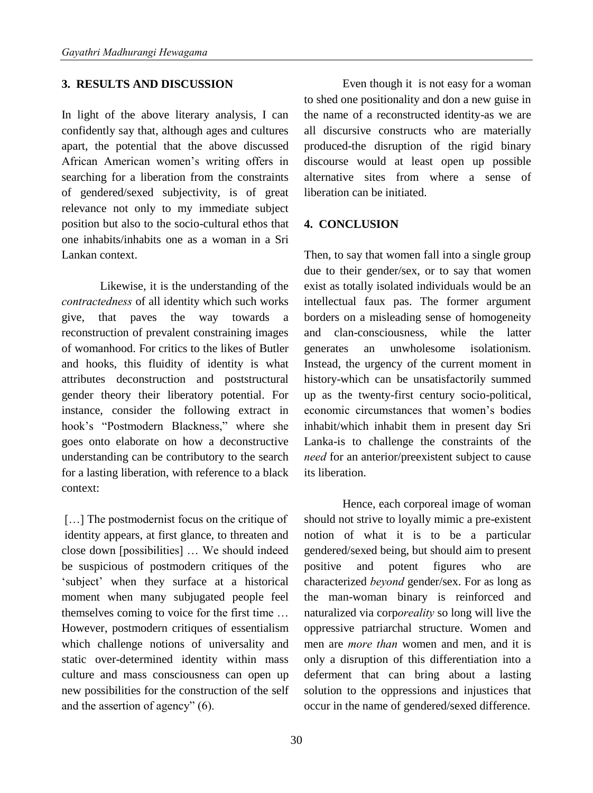## **3. RESULTS AND DISCUSSION**

In light of the above literary analysis, I can confidently say that, although ages and cultures apart, the potential that the above discussed African American women"s writing offers in searching for a liberation from the constraints of gendered/sexed subjectivity, is of great relevance not only to my immediate subject position but also to the socio-cultural ethos that one inhabits/inhabits one as a woman in a Sri Lankan context.

Likewise, it is the understanding of the *contractedness* of all identity which such works give, that paves the way towards reconstruction of prevalent constraining images of womanhood. For critics to the likes of Butler and hooks, this fluidity of identity is what attributes deconstruction and poststructural gender theory their liberatory potential. For instance, consider the following extract in hook"s "Postmodern Blackness," where she goes onto elaborate on how a deconstructive understanding can be contributory to the search for a lasting liberation, with reference to a black context:

[...] The postmodernist focus on the critique of identity appears, at first glance, to threaten and close down [possibilities] … We should indeed be suspicious of postmodern critiques of the 'subject' when they surface at a historical moment when many subjugated people feel themselves coming to voice for the first time … However, postmodern critiques of essentialism which challenge notions of universality and static over-determined identity within mass culture and mass consciousness can open up new possibilities for the construction of the self and the assertion of agency" (6).

Even though it is not easy for a woman to shed one positionality and don a new guise in the name of a reconstructed identity-as we are all discursive constructs who are materially produced-the disruption of the rigid binary discourse would at least open up possible alternative sites from where a sense of liberation can be initiated.

#### **4. CONCLUSION**

Then, to say that women fall into a single group due to their gender/sex, or to say that women exist as totally isolated individuals would be an intellectual faux pas. The former argument borders on a misleading sense of homogeneity and clan-consciousness, while the latter generates an unwholesome isolationism. Instead, the urgency of the current moment in history-which can be unsatisfactorily summed up as the twenty-first century socio-political, economic circumstances that women"s bodies inhabit/which inhabit them in present day Sri Lanka-is to challenge the constraints of the *need* for an anterior/preexistent subject to cause its liberation.

Hence, each corporeal image of woman should not strive to loyally mimic a pre-existent notion of what it is to be a particular gendered/sexed being, but should aim to present positive and potent figures who are characterized *beyond* gender/sex. For as long as the man-woman binary is reinforced and naturalized via corp*oreality* so long will live the oppressive patriarchal structure. Women and men are *more than* women and men, and it is only a disruption of this differentiation into a deferment that can bring about a lasting solution to the oppressions and injustices that occur in the name of gendered/sexed difference.